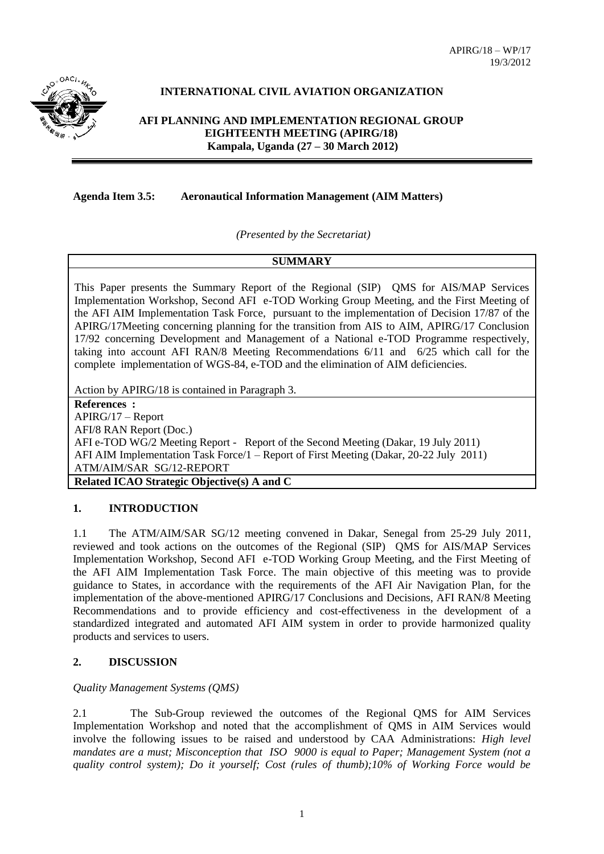APIRG/18 – WP/17 19/3/2012



# **INTERNATIONAL CIVIL AVIATION ORGANIZATION**

**AFI PLANNING AND IMPLEMENTATION REGIONAL GROUP EIGHTEENTH MEETING (APIRG/18) Kampala, Uganda (27 – 30 March 2012)**

**Agenda Item 3.5: Aeronautical Information Management (AIM Matters)**

*(Presented by the Secretariat)*

### **SUMMARY**

This Paper presents the Summary Report of the Regional (SIP) QMS for AIS/MAP Services Implementation Workshop, Second AFI e-TOD Working Group Meeting, and the First Meeting of the AFI AIM Implementation Task Force, pursuant to the implementation of Decision 17/87 of the APIRG/17Meeting concerning planning for the transition from AIS to AIM, APIRG/17 Conclusion 17/92 concerning Development and Management of a National e-TOD Programme respectively, taking into account AFI RAN/8 Meeting Recommendations 6/11 and 6/25 which call for the complete implementation of WGS-84, e-TOD and the elimination of AIM deficiencies.

Action by APIRG/18 is contained in Paragraph 3.

**References :** APIRG/17 – Report AFI/8 RAN Report (Doc.) AFI e-TOD WG/2 Meeting Report - Report of the Second Meeting (Dakar, 19 July 2011) AFI AIM Implementation Task Force/1 – Report of First Meeting (Dakar, 20-22 July 2011) ATM/AIM/SAR SG/12-REPORT **Related ICAO Strategic Objective(s) A and C**

### **1. INTRODUCTION**

1.1 The ATM/AIM/SAR SG/12 meeting convened in Dakar, Senegal from 25-29 July 2011, reviewed and took actions on the outcomes of the Regional (SIP) QMS for AIS/MAP Services Implementation Workshop, Second AFI e-TOD Working Group Meeting, and the First Meeting of the AFI AIM Implementation Task Force. The main objective of this meeting was to provide guidance to States, in accordance with the requirements of the AFI Air Navigation Plan, for the implementation of the above-mentioned APIRG/17 Conclusions and Decisions, AFI RAN/8 Meeting Recommendations and to provide efficiency and cost-effectiveness in the development of a standardized integrated and automated AFI AIM system in order to provide harmonized quality products and services to users.

## **2. DISCUSSION**

### *Quality Management Systems (QMS)*

2.1 The Sub-Group reviewed the outcomes of the Regional QMS for AIM Services Implementation Workshop and noted that the accomplishment of QMS in AIM Services would involve the following issues to be raised and understood by CAA Administrations: *High level mandates are a must; Misconception that ISO 9000 is equal to Paper; Management System (not a quality control system); Do it yourself; Cost (rules of thumb);10% of Working Force would be*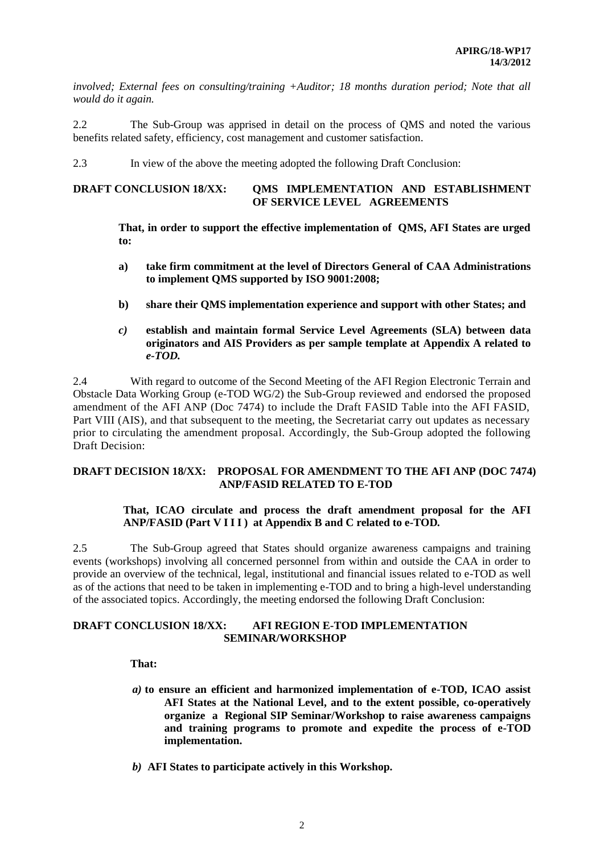*involved; External fees on consulting/training +Auditor; 18 months duration period; Note that all would do it again.*

2.2 The Sub-Group was apprised in detail on the process of QMS and noted the various benefits related safety, efficiency, cost management and customer satisfaction.

2.3 In view of the above the meeting adopted the following Draft Conclusion:

### **DRAFT CONCLUSION 18/XX: QMS IMPLEMENTATION AND ESTABLISHMENT OF SERVICE LEVEL AGREEMENTS**

### **That, in order to support the effective implementation of QMS, AFI States are urged to:**

- **a) take firm commitment at the level of Directors General of CAA Administrations to implement QMS supported by ISO 9001:2008;**
- **b) share their QMS implementation experience and support with other States; and**
- *c)* **establish and maintain formal Service Level Agreements (SLA) between data originators and AIS Providers as per sample template at Appendix A related to**  *e-TOD.*

2.4 With regard to outcome of the Second Meeting of the AFI Region Electronic Terrain and Obstacle Data Working Group (e-TOD WG/2) the Sub-Group reviewed and endorsed the proposed amendment of the AFI ANP (Doc 7474) to include the Draft FASID Table into the AFI FASID, Part VIII (AIS), and that subsequent to the meeting, the Secretariat carry out updates as necessary prior to circulating the amendment proposal. Accordingly, the Sub-Group adopted the following Draft Decision:

#### **DRAFT DECISION 18/XX: PROPOSAL FOR AMENDMENT TO THE AFI ANP (DOC 7474) ANP/FASID RELATED TO E-TOD**

### **That, ICAO circulate and process the draft amendment proposal for the AFI ANP/FASID (Part V I I I ) at Appendix B and C related to e-TOD***.*

2.5 The Sub-Group agreed that States should organize awareness campaigns and training events (workshops) involving all concerned personnel from within and outside the CAA in order to provide an overview of the technical, legal, institutional and financial issues related to e-TOD as well as of the actions that need to be taken in implementing e-TOD and to bring a high-level understanding of the associated topics. Accordingly, the meeting endorsed the following Draft Conclusion:

#### **DRAFT CONCLUSION 18/XX: AFI REGION E-TOD IMPLEMENTATION SEMINAR/WORKSHOP**

### **That:**

- *a)* **to ensure an efficient and harmonized implementation of e-TOD, ICAO assist AFI States at the National Level, and to the extent possible, co-operatively organize a Regional SIP Seminar/Workshop to raise awareness campaigns and training programs to promote and expedite the process of e-TOD implementation.**
- *b)* **AFI States to participate actively in this Workshop.**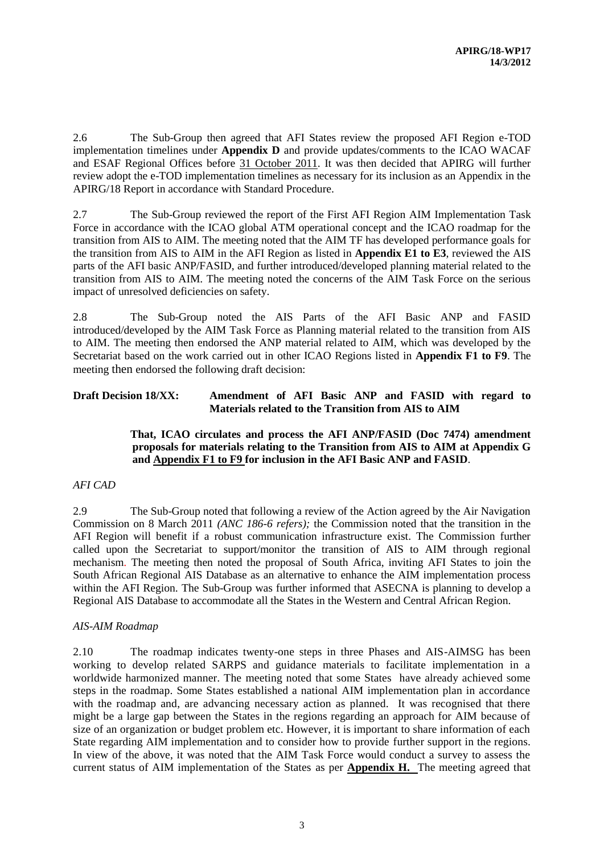2.6 The Sub-Group then agreed that AFI States review the proposed AFI Region e-TOD implementation timelines under **Appendix D** and provide updates/comments to the ICAO WACAF and ESAF Regional Offices before 31 October 2011. It was then decided that APIRG will further review adopt the e-TOD implementation timelines as necessary for its inclusion as an Appendix in the APIRG/18 Report in accordance with Standard Procedure.

2.7 The Sub-Group reviewed the report of the First AFI Region AIM Implementation Task Force in accordance with the ICAO global ATM operational concept and the ICAO roadmap for the transition from AIS to AIM. The meeting noted that the AIM TF has developed performance goals for the transition from AIS to AIM in the AFI Region as listed in **Appendix E1 to E3**, reviewed the AIS parts of the AFI basic ANP/FASID, and further introduced/developed planning material related to the transition from AIS to AIM. The meeting noted the concerns of the AIM Task Force on the serious impact of unresolved deficiencies on safety.

2.8 The Sub-Group noted the AIS Parts of the AFI Basic ANP and FASID introduced/developed by the AIM Task Force as Planning material related to the transition from AIS to AIM. The meeting then endorsed the ANP material related to AIM, which was developed by the Secretariat based on the work carried out in other ICAO Regions listed in **Appendix F1 to F9**. The meeting then endorsed the following draft decision:

## **Draft Decision 18/XX: Amendment of AFI Basic ANP and FASID with regard to Materials related to the Transition from AIS to AIM**

### **That, ICAO circulates and process the AFI ANP/FASID (Doc 7474) amendment proposals for materials relating to the Transition from AIS to AIM at Appendix G and Appendix F1 to F9 for inclusion in the AFI Basic ANP and FASID**.

### *AFI CAD*

2.9 The Sub-Group noted that following a review of the Action agreed by the Air Navigation Commission on 8 March 2011 *(ANC 186-6 refers);* the Commission noted that the transition in the AFI Region will benefit if a robust communication infrastructure exist. The Commission further called upon the Secretariat to support/monitor the transition of AIS to AIM through regional mechanism. The meeting then noted the proposal of South Africa, inviting AFI States to join the South African Regional AIS Database as an alternative to enhance the AIM implementation process within the AFI Region. The Sub-Group was further informed that ASECNA is planning to develop a Regional AIS Database to accommodate all the States in the Western and Central African Region.

### *AIS-AIM Roadmap*

2.10 The roadmap indicates twenty-one steps in three Phases and AIS-AIMSG has been working to develop related SARPS and guidance materials to facilitate implementation in a worldwide harmonized manner. The meeting noted that some States have already achieved some steps in the roadmap. Some States established a national AIM implementation plan in accordance with the roadmap and, are advancing necessary action as planned. It was recognised that there might be a large gap between the States in the regions regarding an approach for AIM because of size of an organization or budget problem etc. However, it is important to share information of each State regarding AIM implementation and to consider how to provide further support in the regions. In view of the above, it was noted that the AIM Task Force would conduct a survey to assess the current status of AIM implementation of the States as per **Appendix H.** The meeting agreed that